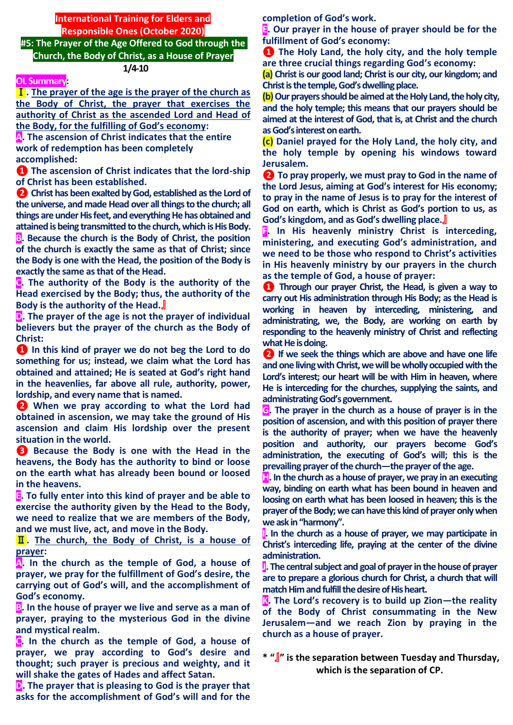**International Training for Elders and Responsible Ones (October 2020) #5: The Prayer of the Age Offered to God through the** 

**Church, the Body of Christ, as a House of Prayer 1/4-10**

#### **OL Summary:**

Ⅰ**. The prayer of the age is the prayer of the church as the Body of Christ, the prayer that exercises the authority of Christ as the ascended Lord and Head of the Body, for the fulfilling of God's economy:**

**A. The ascension of Christ indicates that the entire work of redemption has been completely accomplished:**

**❶ The ascension of Christ indicates that the lord-ship of Christ has been established.**

**❷ Christ has been exalted by God, established as the Lord of the universe, and made Head over all things to the church; all**  things are under His feet, and everything He has obtained and **attained is being transmitted to the church, which is His Body. B. Because the church is the Body of Christ, the position of the church is exactly the same as that of Christ; since the Body is one with the Head, the position of the Body is exactly the same as that of the Head.**

**C. The authority of the Body is the authority of the Head exercised by the Body; thus, the authority of the Body is the authority of the Head.**』

**D. The prayer of the age is not the prayer of individual believers but the prayer of the church as the Body of Christ:**

**❶ In this kind of prayer we do not beg the Lord to do something for us; instead, we claim what the Lord has obtained and attained; He is seated at God's right hand in the heavenlies, far above all rule, authority, power, lordship, and every name that is named.**

**❷ When we pray according to what the Lord had obtained in ascension, we may take the ground of His ascension and claim His lordship over the present situation in the world.**

**❸ Because the Body is one with the Head in the heavens, the Body has the authority to bind or loose on the earth what has already been bound or loosed in the heavens.**

**E. To fully enter into this kind of prayer and be able to exercise the authority given by the Head to the Body, we need to realize that we are members of the Body, and we must live, act, and move in the Body.**

Ⅱ**. The church, the Body of Christ, is a house of prayer:** 

**A. In the church as the temple of God, a house of prayer, we pray for the fulfillment of God's desire, the carrying out of God's will, and the accomplishment of God's economy.**

**B. In the house of prayer we live and serve as a man of prayer, praying to the mysterious God in the divine and mystical realm.**

**C. In the church as the temple of God, a house of prayer, we pray according to God's desire and thought; such prayer is precious and weighty, and it will shake the gates of Hades and affect Satan.**

**D. The prayer that is pleasing to God is the prayer that asks for the accomplishment of God's will and for the**  **completion of God's work.**

**E. Our prayer in the house of prayer should be for the fulfillment of God's economy:** 

**❶ The Holy Land, the holy city, and the holy temple are three crucial things regarding God's economy:** 

**(a) Christ is our good land; Christ is our city, our kingdom; and Christ is the temple, God's dwelling place.**

**(b)** Our prayers should be aimed at the Holy Land, the holy city, **and the holy temple; this means that our prayers should be aimed at the interest of God, that is, at Christ and the church as God's interest on earth.**

**(c) Daniel prayed for the Holy Land, the holy city, and the holy temple by opening his windows toward Jerusalem.**

**❷ To pray properly, we must pray to God in the name of the Lord Jesus, aiming at God's interest for His economy; to pray in the name of Jesus is to pray for the interest of God on earth, which is Christ as God's portion to us, as God's kingdom, and as God's dwelling place.**』

**F. In His heavenly ministry Christ is interceding, ministering, and executing God's administration, and we need to be those who respond to Christ's activities in His heavenly ministry by our prayers in the church as the temple of God, a house of prayer:**

**❶ Through our prayer Christ, the Head, is given a way to carry out His administration through His Body; as the Head is working in heaven by interceding, ministering, and administrating, we, the Body, are working on earth by responding to the heavenly ministry of Christ and reflecting what He is doing.**

**❷ If we seek the things which are above and have one life and one living with Christ, we will be wholly occupied with the Lord's interest; our heart will be with Him in heaven, where He is interceding for the churches, supplying the saints, and administrating God's government.**

**G. The prayer in the church as a house of prayer is in the position of ascension, and with this position of prayer there is the authority of prayer; when we have the heavenly position and authority, our prayers become God's administration, the executing of God's will; this is the prevailing prayer of the church—the prayer of the age.**

**H. In the church as a house of prayer, we pray in an executing way, binding on earth what has been bound in heaven and loosing on earth what has been loosed in heaven; this is the prayer of the Body; we can have this kind of prayer only when we ask in "harmony".**

**I. In the church as a house of prayer, we may participate in Christ's interceding life, praying at the center of the divine administration.**

**J. The central subject and goal of prayer in the house of prayer are to prepare a glorious church for Christ, a church that will match Him and fulfill the desire of His heart.**

**K. The Lord's recovery is to build up Zion—the reality of the Body of Christ consummating in the New Jerusalem—and we reach Zion by praying in the church as a house of prayer.**

**\* "**』**" is the separation between Tuesday and Thursday, which is the separation of CP.**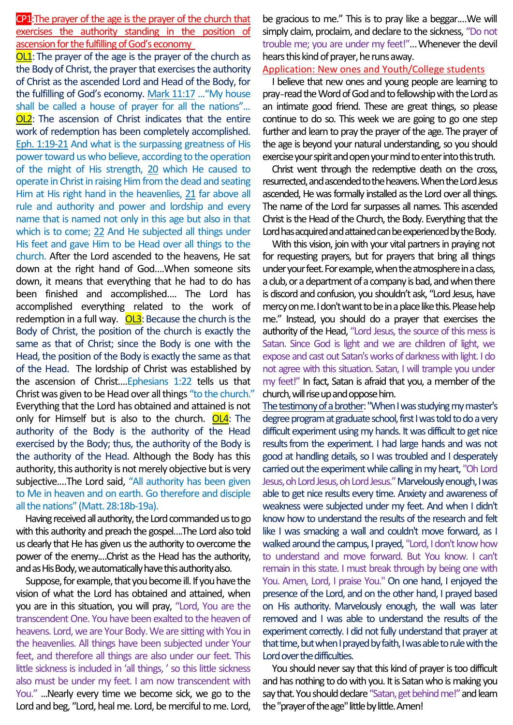CP1:The prayer of the age is the prayer of the church that exercises the authority standing in the position of ascension for the fulfilling of God's economy

**OL1**: The prayer of the age is the prayer of the church as the Body of Christ, the prayer that exercises the authority of Christ as the ascended Lord and Head of the Body, for the fulfilling of God's economy. Mark 11:17 ..."My house shall be called a house of prayer for all the nations"... OL2: The ascension of Christ indicates that the entire work of redemption has been completely accomplished. Eph. 1:19-21 And what is the surpassing greatness of His power toward us who believe, according to the operation of the might of His strength, 20 which He caused to operate in Christ in raising Him from the dead and seating Him at His right hand in the heavenlies, 21 far above all rule and authority and power and lordship and every name that is named not only in this age but also in that which is to come; 22 And He subjected all things under His feet and gave Him to be Head over all things to the church. After the Lord ascended to the heavens, He sat down at the right hand of God….When someone sits down, it means that everything that he had to do has been finished and accomplished…. The Lord has accomplished everything related to the work of redemption in a full way.  $OL3$ : Because the church is the Body of Christ, the position of the church is exactly the same as that of Christ; since the Body is one with the Head, the position of the Body is exactly the same as that of the Head. The lordship of Christ was established by the ascension of Christ….Ephesians 1:22 tells us that Christ was given to be Head over all things "to the church." Everything that the Lord has obtained and attained is not only for Himself but is also to the church.  $OL4$ : The authority of the Body is the authority of the Head exercised by the Body; thus, the authority of the Body is the authority of the Head. Although the Body has this authority, this authority is not merely objective but is very subjective.…The Lord said, "All authority has been given to Me in heaven and on earth. Go therefore and disciple all the nations" (Matt. 28:18b-19a).

Having received all authority, the Lord commanded us to go with this authority and preach the gospel….The Lord also told us clearly that He has given us the authority to overcome the power of the enemy.…Christ as the Head has the authority, and as His Body, we automatically have this authority also.

Suppose, for example, that you become ill. If you have the vision of what the Lord has obtained and attained, when you are in this situation, you will pray, "Lord, You are the transcendent One. You have been exalted to the heaven of heavens. Lord, we are Your Body. We are sitting with You in the heavenlies. All things have been subjected under Your feet, and therefore all things are also under our feet. This little sickness is included in 'all things, ' so this little sickness also must be under my feet. I am now transcendent with You." ...Nearly every time we become sick, we go to the Lord and beg, "Lord, heal me. Lord, be merciful to me. Lord,

be gracious to me." This is to pray like a beggar.…We will simply claim, proclaim, and declare to the sickness, "Do not trouble me; you are under my feet!"…Whenever the devil hears this kind of prayer, he runs away.

### Application: New ones and Youth/College students

I believe that new ones and young people are learning to pray-read the Word of God and to fellowshipwith the Lord as an intimate good friend. These are great things, so please continue to do so. This week we are going to go one step further and learn to pray the prayer of the age. The prayer of the age is beyond your natural understanding, so you should exercise your spirit and open your mind to enter into this truth.

Christ went through the redemptive death on the cross, resurrected, and ascended to the heavens. When the Lord Jesus ascended, He was formally installed as the Lord over all things. The name of the Lord far surpasses all names. This ascended Christ is the Head of the Church, the Body. Everything that the Lord has acquired and attained can be experienced by the Body.

With this vision, join with your vital partners in praying not for requesting prayers, but for prayers that bring all things under your feet. For example, when the atmosphere in a class, a club, or a department of a company is bad, and when there is discord and confusion, you shouldn't ask, "Lord Jesus, have mercy on me. I don't want to be in a place like this. Please help me." Instead, you should do a prayer that exercises the authority of the Head, "Lord Jesus, the source of this mess is Satan. Since God is light and we are children of light, we expose and cast out Satan's works of darkness with light. I do not agree with this situation. Satan, I will trample you under my feet!" In fact, Satan is afraid that you, a member of the church, will rise up and oppose him.

The testimony of a brother: "When I was studying my master's degree program at graduate school, first I was told to do a very difficult experiment using my hands. It was difficult to get nice results from the experiment. I had large hands and was not good at handling details, so I was troubled and I desperately carried out the experiment while calling in my heart, "Oh Lord Jesus, oh Lord Jesus, oh Lord Jesus."Marvelously enough, I was able to get nice results every time. Anxiety and awareness of weakness were subjected under my feet. And when I didn't know how to understand the results of the research and felt like I was smacking a wall and couldn't move forward, as I walked around the campus, I prayed, "Lord, I don't know how to understand and move forward. But You know. I can't remain in this state. I must break through by being one with You. Amen, Lord, I praise You." On one hand, I enjoyed the presence of the Lord, and on the other hand, I prayed based on His authority. Marvelously enough, the wall was later removed and I was able to understand the results of the experiment correctly. I did not fully understand that prayer at that time, but when I prayed by faith, I was able to rule with the Lord over the difficulties.

You should never say that this kind of prayer is too difficult and has nothing to do with you. It is Satan who is making you say that. You should declare "Satan, get behind me!" and learn the "prayer of the age" little by little. Amen!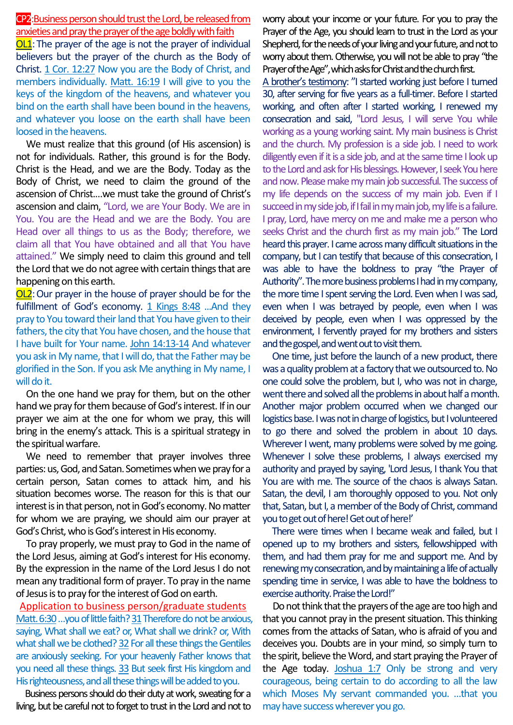# CP2:Business person should trust the Lord, be released from anxieties and pray the prayer of the age boldly with faith

OL1:The prayer of the age is not the prayer of individual believers but the prayer of the church as the Body of Christ. 1 Cor. 12:27 Now you are the Body of Christ, and members individually. Matt. 16:19 I will give to you the keys of the kingdom of the heavens, and whatever you bind on the earth shall have been bound in the heavens, and whatever you loose on the earth shall have been loosed in the heavens.

We must realize that this ground (of His ascension) is not for individuals. Rather, this ground is for the Body. Christ is the Head, and we are the Body. Today as the Body of Christ, we need to claim the ground of the ascension of Christ.…we must take the ground of Christ's ascension and claim, "Lord, we are Your Body. We are in You. You are the Head and we are the Body. You are Head over all things to us as the Body; therefore, we claim all that You have obtained and all that You have attained." We simply need to claim this ground and tell the Lord that we do not agree with certain things that are happening on this earth.

**OL2**: Our prayer in the house of prayer should be for the fulfillment of God's economy. 1 Kings 8:48 ...And they pray to You toward their land that You have given to their fathers, the city that You have chosen, and the house that I have built for Your name. John 14:13-14 And whatever you ask in My name, that I will do, that the Father may be glorified in the Son. If you ask Me anything in My name, I will do it.

On the one hand we pray for them, but on the other hand we pray for them because of God's interest. If in our prayer we aim at the one for whom we pray, this will bring in the enemy's attack. This is a spiritual strategy in the spiritual warfare.

We need to remember that prayer involves three parties: us, God, and Satan. Sometimes when we pray for a certain person, Satan comes to attack him, and his situation becomes worse. The reason for this is that our interest is in that person, not in God's economy. No matter for whom we are praying, we should aim our prayer at God's Christ, who is God's interest in His economy.

To pray properly, we must pray to God in the name of the Lord Jesus, aiming at God's interest for His economy. By the expression in the name of the Lord Jesus I do not mean any traditional form of prayer. To pray in the name of Jesus is to pray for the interest of God on earth.

Application to business person/graduate students Matt. 6:30 ... you of little faith? 31 Therefore do not be anxious, saying, What shall we eat? or, What shall we drink? or, With what shall we be clothed? 32 For all these things the Gentiles are anxiously seeking. For your heavenly Father knows that you need all these things. 33 But seek first His kingdom and His righteousness, and all these things will be added to you.

Business persons should do their duty at work, sweating for a living, but be careful not to forget to trust in the Lord and not to worry about your income or your future. For you to pray the Prayer of the Age, you should learn to trust in the Lord as your Shepherd, for the needs of your living and your future, and not to worry about them. Otherwise, you will not be able to pray "the Prayer of the Age", which asks for Christ and the church first.

A brother's testimony: "I started working just before I turned 30, after serving for five years as a full-timer. Before I started working, and often after I started working, I renewed my consecration and said, "Lord Jesus, I will serve You while working as a young working saint. My main business is Christ and the church. My profession is a side job. I need to work diligently even if it is a side job, and at the same time I look up to the Lord and ask for His blessings. However, I seek You here and now. Please make my main job successful. The success of my life depends on the success of my main job. Even if I succeed in my side job, if I fail in my main job, my life is a failure. I pray, Lord, have mercy on me and make me a person who seeks Christ and the church first as my main job." The Lord heard this prayer. I came across many difficult situations in the company, but I can testify that because of this consecration, I was able to have the boldness to pray "the Prayer of Authority". The more business problems I had in my company, the more time I spent serving the Lord. Even when I was sad, even when I was betrayed by people, even when I was deceived by people, even when I was oppressed by the environment, I fervently prayed for my brothers and sisters and the gospel, and went out to visit them.

One time, just before the launch of a new product, there was a quality problem at a factory that we outsourced to. No one could solve the problem, but I, who was not in charge, went there and solved all the problems in about half a month. Another major problem occurred when we changed our logistics base. I was not in charge of logistics, but I volunteered to go there and solved the problem in about 10 days. Wherever I went, many problems were solved by me going. Whenever I solve these problems, I always exercised my authority and prayed by saying, 'Lord Jesus, I thank You that You are with me. The source of the chaos is always Satan. Satan, the devil, I am thoroughly opposed to you. Not only that, Satan, but I, a member of the Body of Christ, command you to get out of here! Get out of here!'

There were times when I became weak and failed, but I opened up to my brothers and sisters, fellowshipped with them, and had them pray for me and support me. And by renewing my consecration, and by maintaining a life of actually spending time in service, I was able to have the boldness to exercise authority. Praise the Lord!"

Do not think that the prayers of the age are too high and that you cannot pray in the present situation. This thinking comes from the attacks of Satan, who is afraid of you and deceives you. Doubts are in your mind, so simply turn to the spirit, believe the Word, and start praying the Prayer of the Age today. Joshua 1:7 Only be strong and very courageous, being certain to do according to all the law which Moses My servant commanded you. …that you may have success wherever you go.